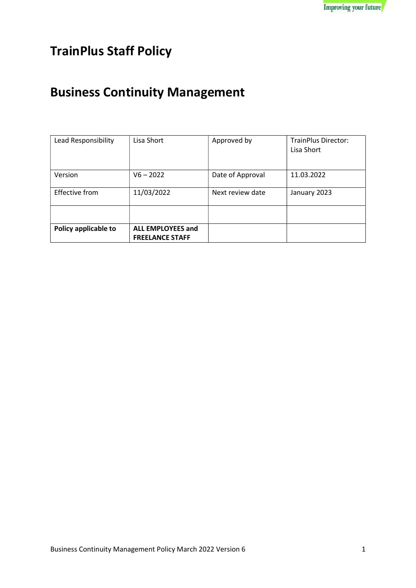## TrainPlus Staff Policy

# Business Continuity Management

| Lead Responsibility  | Lisa Short                                         | Approved by      | <b>TrainPlus Director:</b><br>Lisa Short |
|----------------------|----------------------------------------------------|------------------|------------------------------------------|
| Version              | $V6 - 2022$                                        | Date of Approval | 11.03.2022                               |
| Effective from       | 11/03/2022                                         | Next review date | January 2023                             |
|                      |                                                    |                  |                                          |
| Policy applicable to | <b>ALL EMPLOYEES and</b><br><b>FREELANCE STAFF</b> |                  |                                          |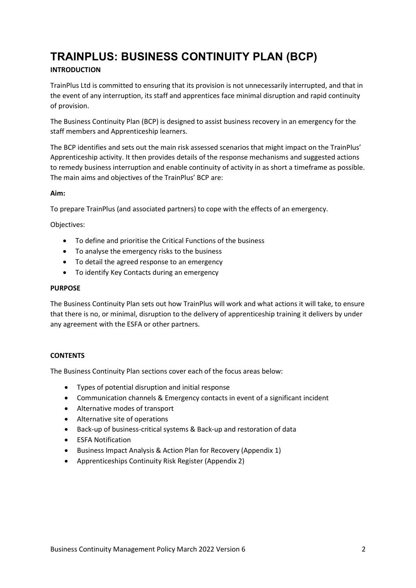## TRAINPLUS: BUSINESS CONTINUITY PLAN (BCP)

### INTRODUCTION

TrainPlus Ltd is committed to ensuring that its provision is not unnecessarily interrupted, and that in the event of any interruption, its staff and apprentices face minimal disruption and rapid continuity of provision.

The Business Continuity Plan (BCP) is designed to assist business recovery in an emergency for the staff members and Apprenticeship learners.

The BCP identifies and sets out the main risk assessed scenarios that might impact on the TrainPlus' Apprenticeship activity. It then provides details of the response mechanisms and suggested actions to remedy business interruption and enable continuity of activity in as short a timeframe as possible. The main aims and objectives of the TrainPlus' BCP are:

#### Aim:

To prepare TrainPlus (and associated partners) to cope with the effects of an emergency.

Objectives:

- To define and prioritise the Critical Functions of the business
- To analyse the emergency risks to the business
- To detail the agreed response to an emergency
- To identify Key Contacts during an emergency

#### PURPOSE

The Business Continuity Plan sets out how TrainPlus will work and what actions it will take, to ensure that there is no, or minimal, disruption to the delivery of apprenticeship training it delivers by under any agreement with the ESFA or other partners.

#### **CONTENTS**

The Business Continuity Plan sections cover each of the focus areas below:

- Types of potential disruption and initial response
- Communication channels & Emergency contacts in event of a significant incident
- Alternative modes of transport
- Alternative site of operations
- Back-up of business-critical systems & Back-up and restoration of data
- **•** ESFA Notification
- Business Impact Analysis & Action Plan for Recovery (Appendix 1)
- Apprenticeships Continuity Risk Register (Appendix 2)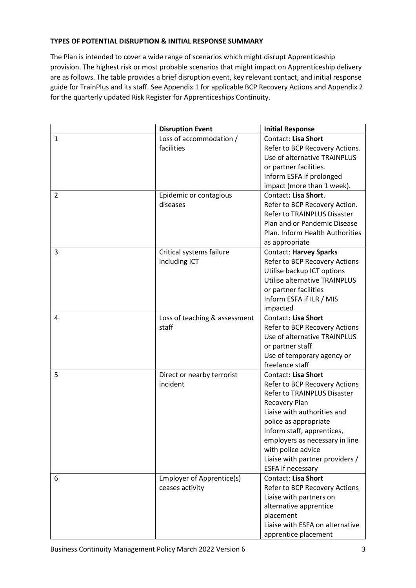#### TYPES OF POTENTIAL DISRUPTION & INITIAL RESPONSE SUMMARY

The Plan is intended to cover a wide range of scenarios which might disrupt Apprenticeship provision. The highest risk or most probable scenarios that might impact on Apprenticeship delivery are as follows. The table provides a brief disruption event, key relevant contact, and initial response guide for TrainPlus and its staff. See Appendix 1 for applicable BCP Recovery Actions and Appendix 2 for the quarterly updated Risk Register for Apprenticeships Continuity.

|              | <b>Disruption Event</b>                | <b>Initial Response</b>                       |
|--------------|----------------------------------------|-----------------------------------------------|
| $\mathbf{1}$ | Loss of accommodation /                | Contact: Lisa Short                           |
|              | facilities                             | Refer to BCP Recovery Actions.                |
|              |                                        | Use of alternative TRAINPLUS                  |
|              |                                        | or partner facilities.                        |
|              |                                        | Inform ESFA if prolonged                      |
|              |                                        | impact (more than 1 week).                    |
| 2            | Epidemic or contagious                 | Contact: Lisa Short.                          |
|              | diseases                               | Refer to BCP Recovery Action.                 |
|              |                                        | Refer to TRAINPLUS Disaster                   |
|              |                                        | Plan and or Pandemic Disease                  |
|              |                                        | Plan. Inform Health Authorities               |
|              |                                        | as appropriate                                |
| 3            | Critical systems failure               | <b>Contact: Harvey Sparks</b>                 |
|              | including ICT                          | Refer to BCP Recovery Actions                 |
|              |                                        | Utilise backup ICT options                    |
|              |                                        | Utilise alternative TRAINPLUS                 |
|              |                                        | or partner facilities                         |
|              |                                        | Inform ESFA if ILR / MIS                      |
|              |                                        | impacted                                      |
| 4            | Loss of teaching & assessment          | Contact: Lisa Short                           |
|              | staff                                  | Refer to BCP Recovery Actions                 |
|              |                                        | Use of alternative TRAINPLUS                  |
|              |                                        | or partner staff                              |
|              |                                        | Use of temporary agency or<br>freelance staff |
|              |                                        | Contact: Lisa Short                           |
| 5            | Direct or nearby terrorist<br>incident | Refer to BCP Recovery Actions                 |
|              |                                        | <b>Refer to TRAINPLUS Disaster</b>            |
|              |                                        | Recovery Plan                                 |
|              |                                        | Liaise with authorities and                   |
|              |                                        | police as appropriate                         |
|              |                                        | Inform staff, apprentices,                    |
|              |                                        | employers as necessary in line                |
|              |                                        | with police advice                            |
|              |                                        | Liaise with partner providers /               |
|              |                                        | <b>ESFA if necessary</b>                      |
| 6            | Employer of Apprentice(s)              | <b>Contact: Lisa Short</b>                    |
|              | ceases activity                        | Refer to BCP Recovery Actions                 |
|              |                                        | Liaise with partners on                       |
|              |                                        | alternative apprentice                        |
|              |                                        | placement                                     |
|              |                                        | Liaise with ESFA on alternative               |
|              |                                        | apprentice placement                          |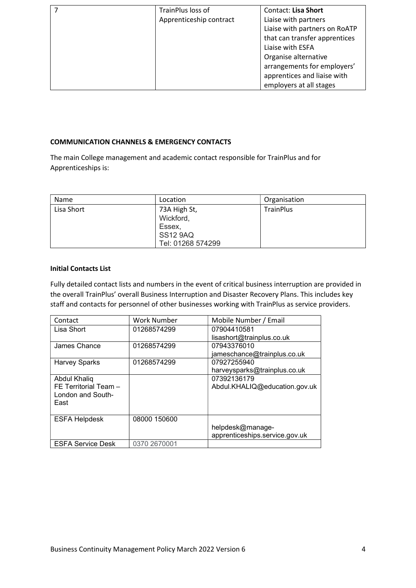| TrainPlus loss of       | <b>Contact: Lisa Short</b>    |
|-------------------------|-------------------------------|
| Apprenticeship contract | Liaise with partners          |
|                         | Liaise with partners on RoATP |
|                         | that can transfer apprentices |
|                         | Liaise with ESFA              |
|                         | Organise alternative          |
|                         | arrangements for employers'   |
|                         | apprentices and liaise with   |
|                         | employers at all stages       |

#### COMMUNICATION CHANNELS & EMERGENCY CONTACTS

The main College management and academic contact responsible for TrainPlus and for Apprenticeships is:

| Name       | Location          | Organisation     |
|------------|-------------------|------------------|
| Lisa Short | 73A High St,      | <b>TrainPlus</b> |
|            | Wickford,         |                  |
|            | Essex,            |                  |
|            | <b>SS12 9AQ</b>   |                  |
|            | Tel: 01268 574299 |                  |

#### Initial Contacts List

Fully detailed contact lists and numbers in the event of critical business interruption are provided in the overall TrainPlus' overall Business Interruption and Disaster Recovery Plans. This includes key staff and contacts for personnel of other businesses working with TrainPlus as service providers.

| Contact                  | Work Number  | Mobile Number / Email          |
|--------------------------|--------------|--------------------------------|
| Lisa Short               | 01268574299  | 07904410581                    |
|                          |              | lisashort@trainplus.co.uk      |
| James Chance             | 01268574299  | 07943376010                    |
|                          |              | jameschance@trainplus.co.uk    |
| <b>Harvey Sparks</b>     | 01268574299  | 07927255940                    |
|                          |              | harveysparks@trainplus.co.uk   |
| Abdul Khaliq             |              | 07392136179                    |
| FE Territorial Team -    |              | Abdul.KHALIQ@education.gov.uk  |
| London and South-        |              |                                |
| East                     |              |                                |
|                          |              |                                |
| <b>ESFA Helpdesk</b>     | 08000 150600 |                                |
|                          |              | helpdesk@manage-               |
|                          |              | apprenticeships.service.gov.uk |
| <b>ESFA Service Desk</b> | 0370 2670001 |                                |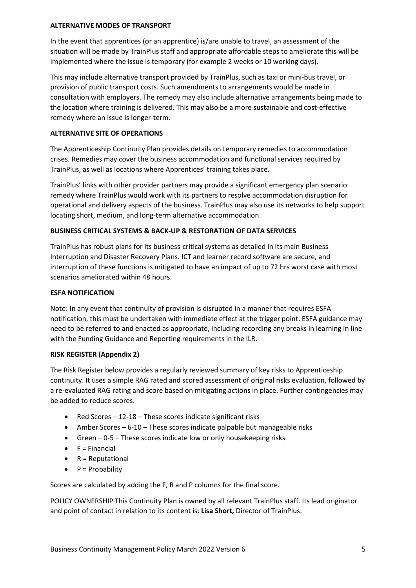#### ALTERNATIVE MODES OF TRANSPORT

In the event that apprentices (or an apprentice) is/are unable to travel, an assessment of the situation will be made by TrainPlus staff and appropriate affordable steps to ameliorate this will be implemented where the issue is temporary (for example 2 weeks or 10 working days).

This may include alternative transport provided by TrainPlus, such as taxi or mini-bus travel, or provision of public transport costs. Such amendments to arrangements would be made in consultation with employers. The remedy may also include alternative arrangements being made to the location where training is delivered. This may also be a more sustainable and cost-effective remedy where an issue is longer-term.

#### ALTERNATIVE SITE OF OPERATIONS

The Apprenticeship Continuity Plan provides details on temporary remedies to accommodation crises. Remedies may cover the business accommodation and functional services required by TrainPlus, as well as locations where Apprentices' training takes place.

TrainPlus' links with other provider partners may provide a significant emergency plan scenario remedy where TrainPlus would work with its partners to resolve accommodation disruption for operational and delivery aspects of the business. TrainPlus may also use its networks to help support locating short, medium, and long-term alternative accommodation.

#### BUSINESS CRITICAL SYSTEMS & BACK-UP & RESTORATION OF DATA SERVICES

TrainPlus has robust plans for its business-critical systems as detailed in its main Business Interruption and Disaster Recovery Plans. ICT and learner record software are secure, and interruption of these functions is mitigated to have an impact of up to 72 hrs worst case with most scenarios ameliorated within 48 hours.

#### ESFA NOTIFICATION

Note: In any event that continuity of provision is disrupted in a manner that requires ESFA notification, this must be undertaken with immediate effect at the trigger point. ESFA guidance may need to be referred to and enacted as appropriate, including recording any breaks in learning in line with the Funding Guidance and Reporting requirements in the ILR.

#### RISK REGISTER (Appendix 2)

The Risk Register below provides a regularly reviewed summary of key risks to Apprenticeship continuity. It uses a simple RAG rated and scored assessment of original risks evaluation, followed by a re-evaluated RAG rating and score based on mitigating actions in place. Further contingencies may be added to reduce scores.

- Red Scores 12-18 These scores indicate significant risks
- Amber Scores 6-10 These scores indicate palpable but manageable risks
- Green  $-0.5$  These scores indicate low or only housekeeping risks
- $\bullet$  F = Financial
- $\bullet$  R = Reputational
- P = Probability

Scores are calculated by adding the F, R and P columns for the final score.

POLICY OWNERSHIP This Continuity Plan is owned by all relevant TrainPlus staff. Its lead originator and point of contact in relation to its content is: Lisa Short, Director of TrainPlus.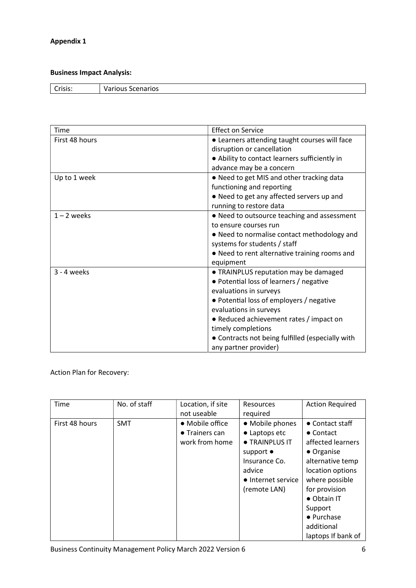## Appendix 1

## Business Impact Analysis:

| $\sim$<br>`ricic•<br>.כוכ | Scenarios<br>.<br>TOUS<br>v<br>. . |
|---------------------------|------------------------------------|
|                           |                                    |

| Time           | <b>Effect on Service</b>                         |
|----------------|--------------------------------------------------|
| First 48 hours | • Learners attending taught courses will face    |
|                | disruption or cancellation                       |
|                | • Ability to contact learners sufficiently in    |
|                | advance may be a concern                         |
| Up to 1 week   | • Need to get MIS and other tracking data        |
|                | functioning and reporting                        |
|                | . Need to get any affected servers up and        |
|                | running to restore data                          |
| $1 - 2$ weeks  | • Need to outsource teaching and assessment      |
|                | to ensure courses run                            |
|                | • Need to normalise contact methodology and      |
|                | systems for students / staff                     |
|                | • Need to rent alternative training rooms and    |
|                | equipment                                        |
| $3 - 4$ weeks  | • TRAINPLUS reputation may be damaged            |
|                | • Potential loss of learners / negative          |
|                | evaluations in surveys                           |
|                | • Potential loss of employers / negative         |
|                | evaluations in surveys                           |
|                | • Reduced achievement rates / impact on          |
|                | timely completions                               |
|                | • Contracts not being fulfilled (especially with |
|                | any partner provider)                            |

Action Plan for Recovery:

| Time           | No. of staff | Location, if site<br>not useable                            | <b>Resources</b><br>required                                                                                                             | <b>Action Required</b>                                                                                                                                                                                                                 |
|----------------|--------------|-------------------------------------------------------------|------------------------------------------------------------------------------------------------------------------------------------------|----------------------------------------------------------------------------------------------------------------------------------------------------------------------------------------------------------------------------------------|
| First 48 hours | <b>SMT</b>   | • Mobile office<br>$\bullet$ Trainers can<br>work from home | • Mobile phones<br>• Laptops etc<br>• TRAINPLUS IT<br>support $\bullet$<br>Insurance Co.<br>advice<br>• Internet service<br>(remote LAN) | $\bullet$ Contact staff<br>$\bullet$ Contact<br>affected learners<br>• Organise<br>alternative temp<br>location options<br>where possible<br>for provision<br>• Obtain IT<br>Support<br>• Purchase<br>additional<br>laptops If bank of |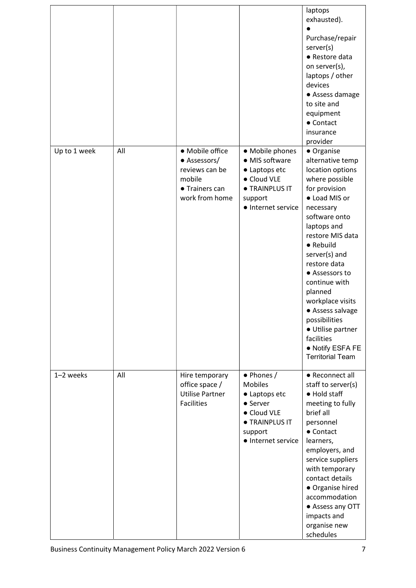|              |     |                                                                                                 |                                                                                                                                    | laptops<br>exhausted).<br>Purchase/repair<br>server(s)<br>• Restore data<br>on server(s),<br>laptops / other<br>devices<br>• Assess damage<br>to site and<br>equipment<br>• Contact<br>insurance<br>provider                                                                                                                                                                                                   |
|--------------|-----|-------------------------------------------------------------------------------------------------|------------------------------------------------------------------------------------------------------------------------------------|----------------------------------------------------------------------------------------------------------------------------------------------------------------------------------------------------------------------------------------------------------------------------------------------------------------------------------------------------------------------------------------------------------------|
| Up to 1 week | All | • Mobile office<br>• Assessors/<br>reviews can be<br>mobile<br>• Trainers can<br>work from home | • Mobile phones<br>• MIS software<br>• Laptops etc<br>• Cloud VLE<br><b>• TRAINPLUS IT</b><br>support<br>• Internet service        | • Organise<br>alternative temp<br>location options<br>where possible<br>for provision<br>• Load MIS or<br>necessary<br>software onto<br>laptops and<br>restore MIS data<br>• Rebuild<br>server(s) and<br>restore data<br>• Assessors to<br>continue with<br>planned<br>workplace visits<br>• Assess salvage<br>possibilities<br>· Utilise partner<br>facilities<br>• Notify ESFA FE<br><b>Territorial Team</b> |
| 1-2 weeks    | All | Hire temporary<br>office space /<br><b>Utilise Partner</b><br><b>Facilities</b>                 | • Phones /<br><b>Mobiles</b><br>• Laptops etc<br>• Server<br>• Cloud VLE<br><b>• TRAINPLUS IT</b><br>support<br>• Internet service | • Reconnect all<br>staff to server(s)<br>• Hold staff<br>meeting to fully<br>brief all<br>personnel<br>• Contact<br>learners,<br>employers, and<br>service suppliers<br>with temporary<br>contact details<br>• Organise hired<br>accommodation<br>• Assess any OTT<br>impacts and<br>organise new<br>schedules                                                                                                 |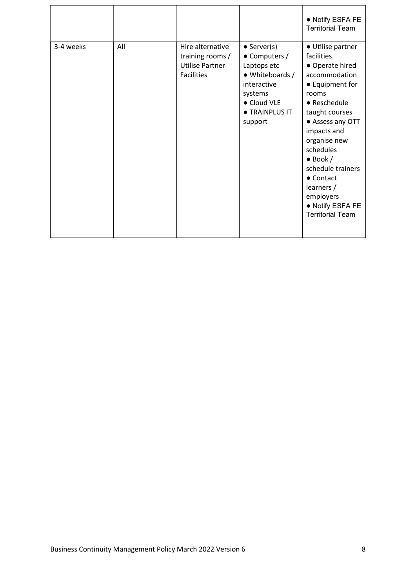|           |     |                                                                                     |                                                                                                                                                             | • Notify ESFA FE<br><b>Territorial Team</b>                                                                                                                                                                                                                                                                                               |
|-----------|-----|-------------------------------------------------------------------------------------|-------------------------------------------------------------------------------------------------------------------------------------------------------------|-------------------------------------------------------------------------------------------------------------------------------------------------------------------------------------------------------------------------------------------------------------------------------------------------------------------------------------------|
| 3-4 weeks | All | Hire alternative<br>training rooms /<br><b>Utilise Partner</b><br><b>Facilities</b> | $\bullet$ Server(s)<br>$\bullet$ Computers /<br>Laptops etc<br>• Whiteboards /<br>interactive<br>systems<br>• Cloud VLE<br><b>• TRAINPLUS IT</b><br>support | • Utilise partner<br>facilities<br>• Operate hired<br>accommodation<br>• Equipment for<br>rooms<br>• Reschedule<br>taught courses<br>• Assess any OTT<br>impacts and<br>organise new<br>schedules<br>$\bullet$ Book /<br>schedule trainers<br>$\bullet$ Contact<br>learners /<br>employers<br>• Notify ESFA FE<br><b>Territorial Team</b> |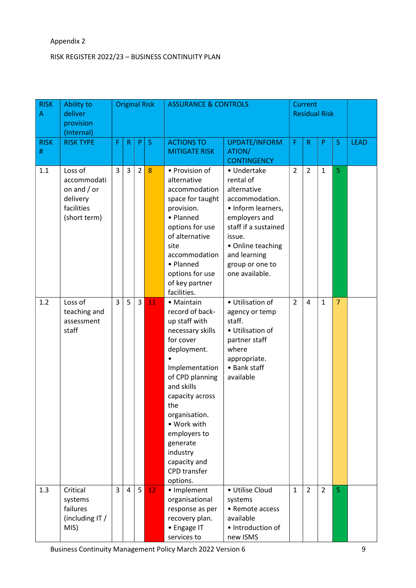## Appendix 2

### RISK REGISTER 2022/23 – BUSINESS CONTINUITY PLAN

| <b>RISK</b><br>Α | Ability to<br>deliver<br>provision<br>(Internal)                                  |                | <b>Original Risk</b> |                |                 | <b>ASSURANCE &amp; CONTROLS</b>                                                                                                                                                                                                                                                                 |                                                                                                                                                                                                              |                |                |                | Current<br><b>Residual Risk</b> |             |  |  |
|------------------|-----------------------------------------------------------------------------------|----------------|----------------------|----------------|-----------------|-------------------------------------------------------------------------------------------------------------------------------------------------------------------------------------------------------------------------------------------------------------------------------------------------|--------------------------------------------------------------------------------------------------------------------------------------------------------------------------------------------------------------|----------------|----------------|----------------|---------------------------------|-------------|--|--|
| <b>RISK</b><br># | <b>RISK TYPE</b>                                                                  | F              | $\mathsf{R}$         | P              | S               | <b>ACTIONS TO</b><br><b>MITIGATE RISK</b>                                                                                                                                                                                                                                                       | <b>UPDATE/INFORM</b><br>ATION/<br><b>CONTINGENCY</b>                                                                                                                                                         | F              | $\mathsf R$    | P              | S.                              | <b>LEAD</b> |  |  |
| 1.1              | Loss of<br>accommodati<br>on and $/$ or<br>delivery<br>facilities<br>(short term) | $\overline{3}$ | $\overline{3}$       | $\overline{2}$ | 8               | • Provision of<br>alternative<br>accommodation<br>space for taught<br>provision.<br>• Planned<br>options for use<br>of alternative<br>site<br>accommodation<br>• Planned<br>options for use<br>of key partner<br>facilities.                                                                    | • Undertake<br>rental of<br>alternative<br>accommodation.<br>• Inform learners,<br>employers and<br>staff if a sustained<br>issue.<br>• Online teaching<br>and learning<br>group or one to<br>one available. | $\overline{2}$ | $\overline{2}$ | $\mathbf{1}$   | $\overline{5}$                  |             |  |  |
| 1.2              | Loss of<br>teaching and<br>assessment<br>staff                                    | $\overline{3}$ | 5                    | $\overline{3}$ | 11              | • Maintain<br>record of back-<br>up staff with<br>necessary skills<br>for cover<br>deployment.<br>Implementation<br>of CPD planning<br>and skills<br>capacity across<br>the<br>organisation.<br>• Work with<br>employers to<br>generate<br>industry<br>capacity and<br>CPD transfer<br>options. | • Utilisation of<br>agency or temp<br>staff.<br>• Utilisation of<br>partner staff<br>where<br>appropriate.<br>• Bank staff<br>available                                                                      | $\overline{2}$ | $\overline{4}$ | $\mathbf{1}$   | $\overline{7}$                  |             |  |  |
| 1.3              | Critical<br>systems<br>failures<br>(including IT /<br>MIS)                        | $\overline{3}$ | $\overline{4}$       | 5              | 12 <sub>1</sub> | • Implement<br>organisational<br>response as per<br>recovery plan.<br>• Engage IT<br>services to                                                                                                                                                                                                | • Utilise Cloud<br>systems<br>• Remote access<br>available<br>· Introduction of<br>new ISMS                                                                                                                  | $\mathbf{1}$   | $\overline{2}$ | $\overline{2}$ | 5 <sup>1</sup>                  |             |  |  |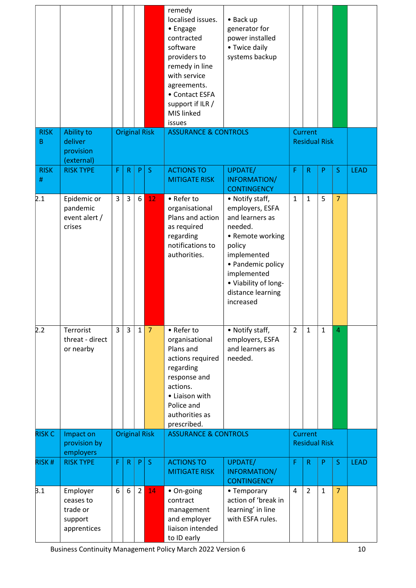|                     |                                                             |   |                |                |                      | remedy<br>localised issues.<br>• Engage<br>contracted<br>software<br>providers to<br>remedy in line<br>with service<br>agreements.<br>• Contact ESFA<br>support if ILR /<br>MIS linked<br>issues | • Back up<br>generator for<br>power installed<br>• Twice daily<br>systems backup                                                                                                                            |                |                |                      |                |             |
|---------------------|-------------------------------------------------------------|---|----------------|----------------|----------------------|--------------------------------------------------------------------------------------------------------------------------------------------------------------------------------------------------|-------------------------------------------------------------------------------------------------------------------------------------------------------------------------------------------------------------|----------------|----------------|----------------------|----------------|-------------|
| <b>RISK</b>         | Ability to<br>deliver                                       |   |                |                | <b>Original Risk</b> | <b>ASSURANCE &amp; CONTROLS</b>                                                                                                                                                                  |                                                                                                                                                                                                             |                | Current        |                      |                |             |
| B                   | provision<br>(external)                                     |   |                |                |                      |                                                                                                                                                                                                  |                                                                                                                                                                                                             |                |                | <b>Residual Risk</b> |                |             |
| <b>RISK</b><br>$\#$ | <b>RISK TYPE</b>                                            | F | $\mathsf{R}$   | P.             | S                    | <b>ACTIONS TO</b><br><b>MITIGATE RISK</b>                                                                                                                                                        | UPDATE/<br>INFORMATION/<br><b>CONTINGENCY</b>                                                                                                                                                               | F              | $\mathsf R$    | P                    | S              | <b>LEAD</b> |
| 2.1                 | Epidemic or<br>pandemic<br>event alert /<br>crises          | 3 | 3              | 6              | 12                   | • Refer to<br>organisational<br>Plans and action<br>as required<br>regarding<br>notifications to<br>authorities.                                                                                 | • Notify staff,<br>employers, ESFA<br>and learners as<br>needed.<br>• Remote working<br>policy<br>implemented<br>• Pandemic policy<br>implemented<br>• Viability of long-<br>distance learning<br>increased | $\mathbf{1}$   | $\mathbf{1}$   | 5                    | $\overline{7}$ |             |
| 2.2                 | Terrorist<br>threat - direct<br>or nearby                   | 3 | $\overline{3}$ | $\mathbf{1}$   | $\overline{7}$       | • Refer to<br>organisational<br>Plans and<br>actions required<br>regarding<br>response and<br>actions.<br>• Liaison with<br>Police and<br>authorities as<br>prescribed.                          | • Notify staff,<br>employers, ESFA<br>and learners as<br>needed.                                                                                                                                            | $\overline{2}$ | $\mathbf{1}$   | $\mathbf{1}$         | 4              |             |
| <b>RISK C</b>       | Impact on<br>provision by                                   |   |                |                | <b>Original Risk</b> | <b>ASSURANCE &amp; CONTROLS</b>                                                                                                                                                                  |                                                                                                                                                                                                             |                | Current        | <b>Residual Risk</b> |                |             |
|                     | employers                                                   |   |                |                |                      |                                                                                                                                                                                                  |                                                                                                                                                                                                             |                |                |                      |                |             |
| <b>RISK#</b>        | <b>RISK TYPE</b>                                            | F | $\mathsf{R}$   | P              | $\mathsf S$          | <b>ACTIONS TO</b><br><b>MITIGATE RISK</b>                                                                                                                                                        | UPDATE/<br>INFORMATION/<br><b>CONTINGENCY</b>                                                                                                                                                               | F              | $\mathsf{R}$   | P                    | S              | <b>LEAD</b> |
| 3.1                 | Employer<br>ceases to<br>trade or<br>support<br>apprentices | 6 | 6              | $\overline{2}$ | 14                   | • On-going<br>contract<br>management<br>and employer<br>liaison intended<br>to ID early                                                                                                          | • Temporary<br>action of 'break in<br>learning' in line<br>with ESFA rules.                                                                                                                                 | $\overline{4}$ | $\overline{2}$ | $\mathbf{1}$         | $\overline{7}$ |             |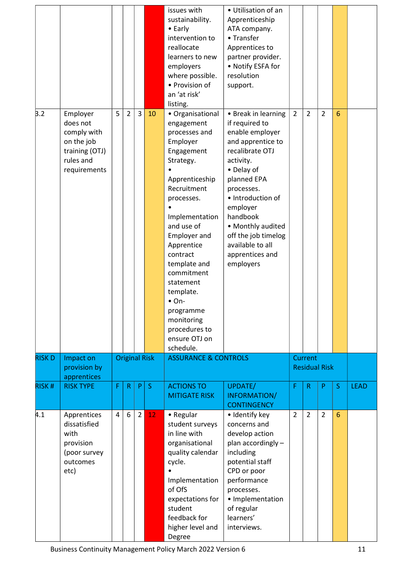|              |                                                                                                  |   |                |                |                      | issues with<br>sustainability.<br>$\bullet$ Early<br>intervention to<br>reallocate<br>learners to new<br>employers<br>where possible.<br>• Provision of<br>an 'at risk'<br>listing.                                                                                                                                                                                       | • Utilisation of an<br>Apprenticeship<br>ATA company.<br>• Transfer<br>Apprentices to<br>partner provider.<br>• Notify ESFA for<br>resolution<br>support.                                                                                                                                             |                |                                 |                |                 |             |
|--------------|--------------------------------------------------------------------------------------------------|---|----------------|----------------|----------------------|---------------------------------------------------------------------------------------------------------------------------------------------------------------------------------------------------------------------------------------------------------------------------------------------------------------------------------------------------------------------------|-------------------------------------------------------------------------------------------------------------------------------------------------------------------------------------------------------------------------------------------------------------------------------------------------------|----------------|---------------------------------|----------------|-----------------|-------------|
| 3.2          | Employer<br>does not<br>comply with<br>on the job<br>training (OTJ)<br>rules and<br>requirements | 5 | $\overline{2}$ | $\overline{3}$ | 10                   | • Organisational<br>engagement<br>processes and<br>Employer<br>Engagement<br>Strategy.<br>Apprenticeship<br>Recruitment<br>processes.<br>Implementation<br>and use of<br><b>Employer and</b><br>Apprentice<br>contract<br>template and<br>commitment<br>statement<br>template.<br>$\bullet$ On-<br>programme<br>monitoring<br>procedures to<br>ensure OTJ on<br>schedule. | • Break in learning<br>if required to<br>enable employer<br>and apprentice to<br>recalibrate OTJ<br>activity.<br>• Delay of<br>planned EPA<br>processes.<br>• Introduction of<br>employer<br>handbook<br>• Monthly audited<br>off the job timelog<br>available to all<br>apprentices and<br>employers | $\overline{2}$ | $\overline{2}$                  | $\overline{2}$ | $6\phantom{1}6$ |             |
| <b>RISKD</b> | Impact on<br>provision by                                                                        |   |                |                | <b>Original Risk</b> | <b>ASSURANCE &amp; CONTROLS</b>                                                                                                                                                                                                                                                                                                                                           |                                                                                                                                                                                                                                                                                                       |                | Current<br><b>Residual Risk</b> |                |                 |             |
|              | apprentices                                                                                      |   |                |                |                      |                                                                                                                                                                                                                                                                                                                                                                           |                                                                                                                                                                                                                                                                                                       |                |                                 |                |                 |             |
| <b>RISK#</b> | <b>RISK TYPE</b>                                                                                 | F | $\mathsf{R}$   | P.             | $\mathsf{S}$         | <b>ACTIONS TO</b><br><b>MITIGATE RISK</b>                                                                                                                                                                                                                                                                                                                                 | UPDATE/<br>INFORMATION/<br><b>CONTINGENCY</b>                                                                                                                                                                                                                                                         | F              | $\mathsf{R}$                    | P              | $\sf S$         | <b>LEAD</b> |
| 4.1          | Apprentices<br>dissatisfied<br>with<br>provision<br>(poor survey<br>outcomes<br>etc)             | 4 | 6              | $\overline{2}$ | 12                   | • Regular<br>student surveys<br>in line with<br>organisational<br>quality calendar<br>cycle.<br>Implementation<br>of OfS<br>expectations for<br>student<br>feedback for<br>higher level and<br>Degree                                                                                                                                                                     | · Identify key<br>concerns and<br>develop action<br>plan accordingly -<br>including<br>potential staff<br>CPD or poor<br>performance<br>processes.<br>· Implementation<br>of regular<br>learners'<br>interviews.                                                                                      | $\overline{2}$ | $\overline{2}$                  | $\overline{2}$ | $6\phantom{1}6$ |             |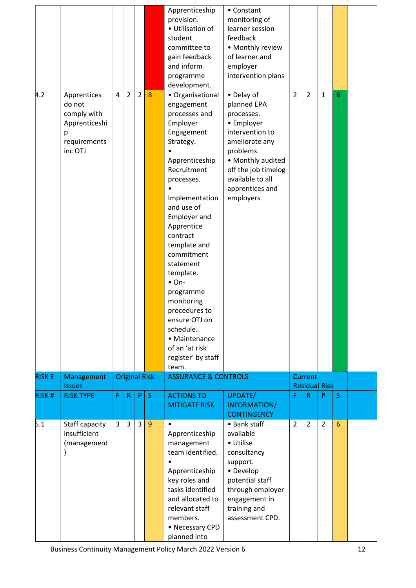| 4.2           | Apprentices<br>do not                                        | $\overline{4}$ | $\overline{2}$ | $\overline{2}$ | 8                    | Apprenticeship<br>provision.<br>· Utilisation of<br>student<br>committee to<br>gain feedback<br>and inform<br>programme<br>development.<br>• Organisational<br>engagement                                                                                                                                                                                                                                 | • Constant<br>monitoring of<br>learner session<br>feedback<br>• Monthly review<br>of learner and<br>employer<br>intervention plans<br>• Delay of<br>planned EPA            | $\overline{2}$ | $\overline{2}$                  | $\mathbf{1}$   | 6               |  |
|---------------|--------------------------------------------------------------|----------------|----------------|----------------|----------------------|-----------------------------------------------------------------------------------------------------------------------------------------------------------------------------------------------------------------------------------------------------------------------------------------------------------------------------------------------------------------------------------------------------------|----------------------------------------------------------------------------------------------------------------------------------------------------------------------------|----------------|---------------------------------|----------------|-----------------|--|
|               | comply with<br>Apprenticeshi<br>р<br>requirements<br>inc OTJ |                |                |                |                      | processes and<br>Employer<br>Engagement<br>Strategy.<br>Apprenticeship<br>Recruitment<br>processes.<br>Implementation<br>and use of<br><b>Employer and</b><br>Apprentice<br>contract<br>template and<br>commitment<br>statement<br>template.<br>$\bullet$ On-<br>programme<br>monitoring<br>procedures to<br>ensure OTJ on<br>schedule.<br>• Maintenance<br>of an 'at risk<br>register' by staff<br>team. | processes.<br>• Employer<br>intervention to<br>ameliorate any<br>problems.<br>• Monthly audited<br>off the job timelog<br>available to all<br>apprentices and<br>employers |                |                                 |                |                 |  |
| <b>RISK E</b> | Management<br><b>Issues</b>                                  |                |                |                | <b>Original Risk</b> | <b>ASSURANCE &amp; CONTROLS</b>                                                                                                                                                                                                                                                                                                                                                                           |                                                                                                                                                                            |                | Current<br><b>Residual Risk</b> |                |                 |  |
| <b>RISK#</b>  | <b>RISK TYPE</b>                                             | F              | $\mathsf{R}$   | P              | S                    | <b>ACTIONS TO</b><br><b>MITIGATE RISK</b>                                                                                                                                                                                                                                                                                                                                                                 | UPDATE/<br>INFORMATION/<br><b>CONTINGENCY</b>                                                                                                                              | F              | $\mathsf R$                     | P              | S.              |  |
| 5.1           | Staff capacity<br>insufficient<br>(management                | 3              | 3              | 3              | 9                    | $\bullet$<br>Apprenticeship<br>management<br>team identified.<br>Apprenticeship<br>key roles and<br>tasks identified<br>and allocated to<br>relevant staff<br>members.<br>• Necessary CPD<br>planned into                                                                                                                                                                                                 | • Bank staff<br>available<br>• Utilise<br>consultancy<br>support.<br>• Develop<br>potential staff<br>through employer<br>engagement in<br>training and<br>assessment CPD.  | $\overline{2}$ | $\overline{2}$                  | $\overline{2}$ | $6\phantom{1}6$ |  |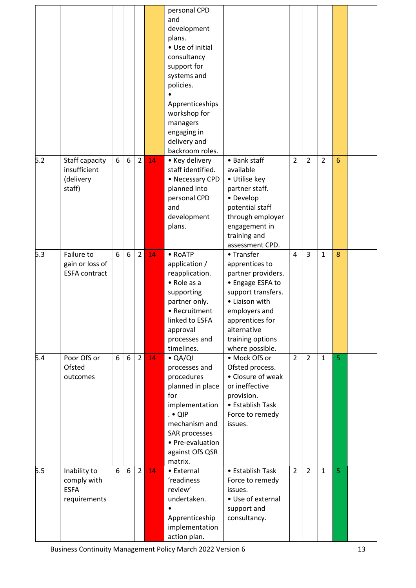|     |                                                            |   |   |                |    | personal CPD<br>and<br>development<br>plans.<br>• Use of initial<br>consultancy<br>support for<br>systems and<br>policies.<br>Apprenticeships<br>workshop for<br>managers<br>engaging in<br>delivery and |                                                                                                                                                                                                          |                |                |                |                 |  |
|-----|------------------------------------------------------------|---|---|----------------|----|----------------------------------------------------------------------------------------------------------------------------------------------------------------------------------------------------------|----------------------------------------------------------------------------------------------------------------------------------------------------------------------------------------------------------|----------------|----------------|----------------|-----------------|--|
| 5.2 | Staff capacity<br>insufficient<br>(delivery<br>staff)      | 6 | 6 | $\overline{2}$ | 14 | backroom roles.<br>• Key delivery<br>staff identified.<br>• Necessary CPD<br>planned into<br>personal CPD<br>and<br>development<br>plans.                                                                | • Bank staff<br>available<br>• Utilise key<br>partner staff.<br>• Develop<br>potential staff<br>through employer<br>engagement in<br>training and<br>assessment CPD.                                     | $\overline{2}$ | $\overline{2}$ | $\overline{2}$ | $6\phantom{1}6$ |  |
| 5.3 | Failure to<br>gain or loss of<br><b>ESFA contract</b>      | 6 | 6 | $\overline{2}$ | 14 | • RoATP<br>application /<br>reapplication.<br>• Role as a<br>supporting<br>partner only.<br>• Recruitment<br>linked to ESFA<br>approval<br>processes and<br>timelines.                                   | • Transfer<br>apprentices to<br>partner providers.<br>• Engage ESFA to<br>support transfers.<br>• Liaison with<br>employers and<br>apprentices for<br>alternative<br>training options<br>where possible. | $\overline{4}$ | $\overline{3}$ | $\mathbf{1}$   | 8               |  |
| 5.4 | Poor OfS or<br>Ofsted<br>outcomes                          | 6 | 6 | $\overline{2}$ | 14 | $\bullet$ QA/QI<br>processes and<br>procedures<br>planned in place<br>for<br>implementation<br>$. •$ QIP<br>mechanism and<br>SAR processes<br>• Pre-evaluation<br>against OfS QSR<br>matrix.             | • Mock OfS or<br>Ofsted process.<br>• Closure of weak<br>or ineffective<br>provision.<br>• Establish Task<br>Force to remedy<br>issues.                                                                  | $\overline{2}$ | $\overline{2}$ | $\mathbf{1}$   | 5               |  |
| 5.5 | Inability to<br>comply with<br><b>ESFA</b><br>requirements | 6 | 6 | $\overline{2}$ | 14 | • External<br>'readiness<br>review'<br>undertaken.<br>Apprenticeship<br>implementation<br>action plan.                                                                                                   | • Establish Task<br>Force to remedy<br>issues.<br>• Use of external<br>support and<br>consultancy.                                                                                                       | $\overline{2}$ | $\overline{2}$ | $\mathbf{1}$   | 5               |  |